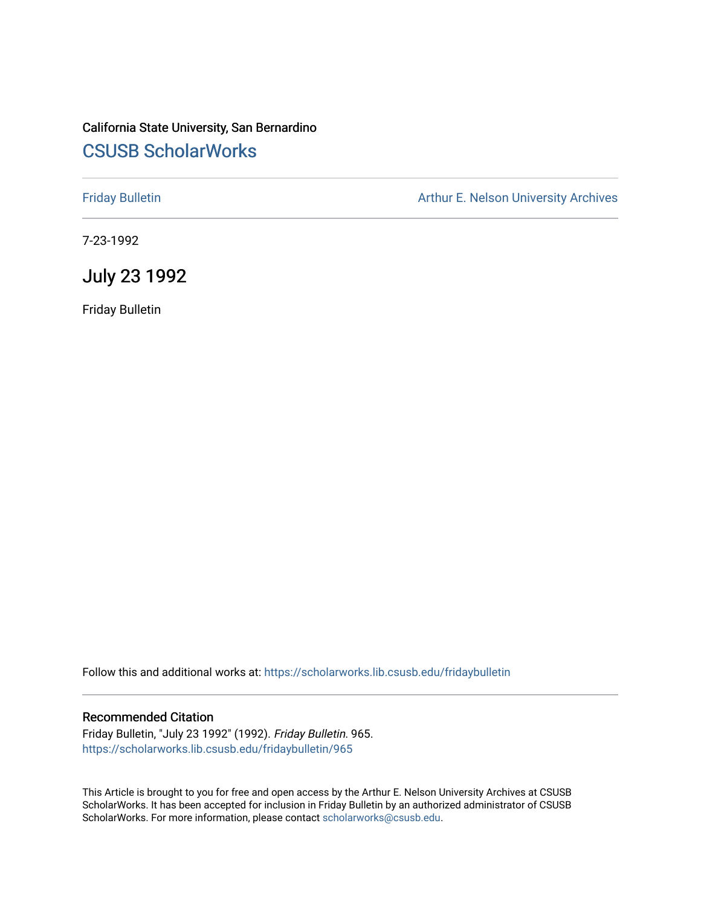## California State University, San Bernardino [CSUSB ScholarWorks](https://scholarworks.lib.csusb.edu/)

[Friday Bulletin](https://scholarworks.lib.csusb.edu/fridaybulletin) **Arthur E. Nelson University Archives** Arthur E. Nelson University Archives

7-23-1992

## July 23 1992

Friday Bulletin

Follow this and additional works at: [https://scholarworks.lib.csusb.edu/fridaybulletin](https://scholarworks.lib.csusb.edu/fridaybulletin?utm_source=scholarworks.lib.csusb.edu%2Ffridaybulletin%2F965&utm_medium=PDF&utm_campaign=PDFCoverPages)

#### Recommended Citation

Friday Bulletin, "July 23 1992" (1992). Friday Bulletin. 965. [https://scholarworks.lib.csusb.edu/fridaybulletin/965](https://scholarworks.lib.csusb.edu/fridaybulletin/965?utm_source=scholarworks.lib.csusb.edu%2Ffridaybulletin%2F965&utm_medium=PDF&utm_campaign=PDFCoverPages)

This Article is brought to you for free and open access by the Arthur E. Nelson University Archives at CSUSB ScholarWorks. It has been accepted for inclusion in Friday Bulletin by an authorized administrator of CSUSB ScholarWorks. For more information, please contact [scholarworks@csusb.edu.](mailto:scholarworks@csusb.edu)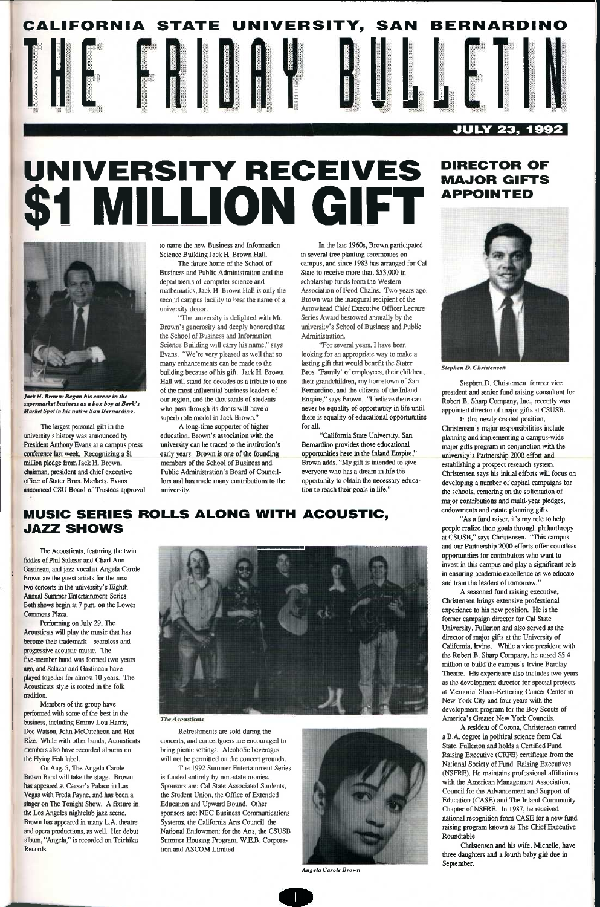# CALIFORNIA STATE UNIVERSITY, SAN BERNARDINO HE **J J JULY 23, 1992**

# **UNIVERSITY RECEIVES**  \$1 MILLION GIFT

## **DIRECTOR OF MAJOR GIFTS APPOINTED**



*Jack H. Brown: Began his career in the supermarket business as a box boy at Berk's Market Spot in his native San Bernardino.* 

The largest personal gift in the university's history was announced by President Anthony Evans at a campus press conference last week. Recognizing a \$1 million pledge from Jack H. Brown, chairman, president and chief executive officer of Stater Bros. Markets, Evans announced CSU Board of Trustees approval to name the new Business and Information Science Building Jack H. Brown Hall.

The future home of the School of Business and Public Administration and the departments of computer science and mathematics, Jack H. Brown Hall is only the second campus facility to bear the name of a university donor.

"The university is deliglited with Mr. Brown's generosity and deeply honored that the School of Business and Information Science Building will carry his name," says Evans. "We're very pleased as well that so many enhancements can be made to the building because of his gift. Jack H. Brown Hall will stand for decades as a tribute to one of the most influential business leaders of our region, and the thousands of students who pass through its doors will have a superb role model in Jack Brown."

A long-time supporter of higher education. Brown's association with the university can be traced to the institution's early years. Brown is one of the founding members of the School of Business and Public Administration's Board of Councillors and has made many contributions to the university.

In the late 1960s, Brown participated in several tree planting ceremonies on campus, and since 1983 has arranged for Cal State to receive more than \$53,000 in scholarship funds from the Western Association of Food Chains. Two years ago. Brown was the inaugural recipient of the Arrowhead Chief Executive Officer Lecture Series Award bestowed annually by the university's School of Business and Public Administration.

Refreshments are sold during the concerts, and concertgoers are encouraged to bring picnic settings. Alcoholic beverages will not be permitted on the concert grounds.

The 1992 Summer Entertainment Series is funded entirely by non-stale monies. Sponsors are: Cal State Associated Students, the Student Union, the Office of Extended Education and Upward Bound. Other sponsors are: NEC Business Communications Systems, the California Arts Council, the National Endowment for the Arts, the CSUSB Summer Housing Program, W.E.B. Corporation and ASCOM Limited.

"For several years, I have been looking for an appropriate way to make a lasting gift that would benefit the Stater Bros. 'Family' of employees, their children, their grandchildren, my hometown of San Bemardino, and the citizens of the Inland Empire," says Brown. "I believe there can never be equality of opportunity in life until there is equality of educational opportunities for all.

"California State University, San Bemardino provides those educational opportunities here in the Inland Empire," Brown adds. "My gift is intended to give everyone who has a dream in life the opportunity to obtain the necessary education to reach their goals in life."

## **MUSIC SERIES ROLLS ALONG WITH ACOUSTIC, JAZZ SHOWS**

The Acousticats, featuring the twin fiddles of Phil Salazar and Charl Ann Gastineau, and jazz vocalist Angela Carole Brown are the guest artists for the next two concerts in the university's Eighth Annual Summer Entertainment Series. Both shows begin at 7 p.m. on the Lower Commons Plaza.

Performing on July 29, The Acousticats will play the music that has become their trademark—seamless and progressive acoustic music. The five-member band was formed two years ago, and Salazar and Gastineau have played together for almost 10 years. The Acousticats' style is rooted in the folk tradition. Members of the group have performed with some of the best in the business, including Emmy Lou Harris, Doc Watson, John McCutcheon and Hot Rize. While with other bands, Acousticats members also have recorded albums on the Flying Fish label. On Aug. 5, The Angela Carole Brown Band will take the stage. Brown has appeared at Caesar's Palace in Las Vegas with Freda Payne, and has been a singer on The Tonight Show. A fixture in the Los Angeles nightclub jazz scene. Brown has appeared in many L.A. theatre and opera productions, as well. Her debut album, "Angela," is recorded on Teichiku Records.



#### **The Acousticats**



*Stephen D. Christensen* 

Stephen D. Christensen, former vice president and senior fund raising consultant for Robert B. Sharp Company, Inc., recently was appointed director of major gifts at CSUSB. In this newly created position,

Christensen's major responsibilities include planning and implementing a campus-wide major gifts program in conjunction with the university's Partnership 2000 effort and establishing a prospect research system. Christensen says his initial efforts will focus on developing a number of capital campaigns for the schools, centering on the solicitation of major contributions and multi-year pledges, endowments and estate planning gifts.

"As a fimd raiser, it's my role to help people realize their goals through philanthropy at CSUSB," says Christensen. "This campus and our Partnership 2000 efforts offer countless opportunities for contributors who want to invest in this campus and play a significant role in ensuring academic excellence as we educate and train the leaders of tomorrow."



*Angela Carole Brown* 

A seasoned fund raising executive, Christensen brings extensive professional experience to his new position. He is the former campaign director for Cal State University, Fullerton and also served as the director of major gifts at the University of Califomia, Irvine. While a vice president with the Robert B. Sharp Company, he raised \$5.4 million to build the campus's Irvine Barclay Theatre. His experience also includes two years as the development director for special projects at Memorial Sloan-Kettering Cancer Center in New York City and four years with the development program for the Boy Scouts of America's Greater New York Councils. A resident of Corona, Christensen earned a B.A. degree in political science ficm Cal State, Fullerton and holds a Certified Fund Raising Executive (CRFE) certificate from the National Society of Fund Raising Executives (NSFRE). He maintains professional affiliations with the American Management Association, Council for the Advancement and Support of Education (CASE) and The Inland Community Chapter of NSFRE. In 1987, he received national recognition from CASE for a new fund raising program known as The Chief Executive Roundtable. Christensen and his wife, Michelle, have three daughters and a fourth baby girl due in September.